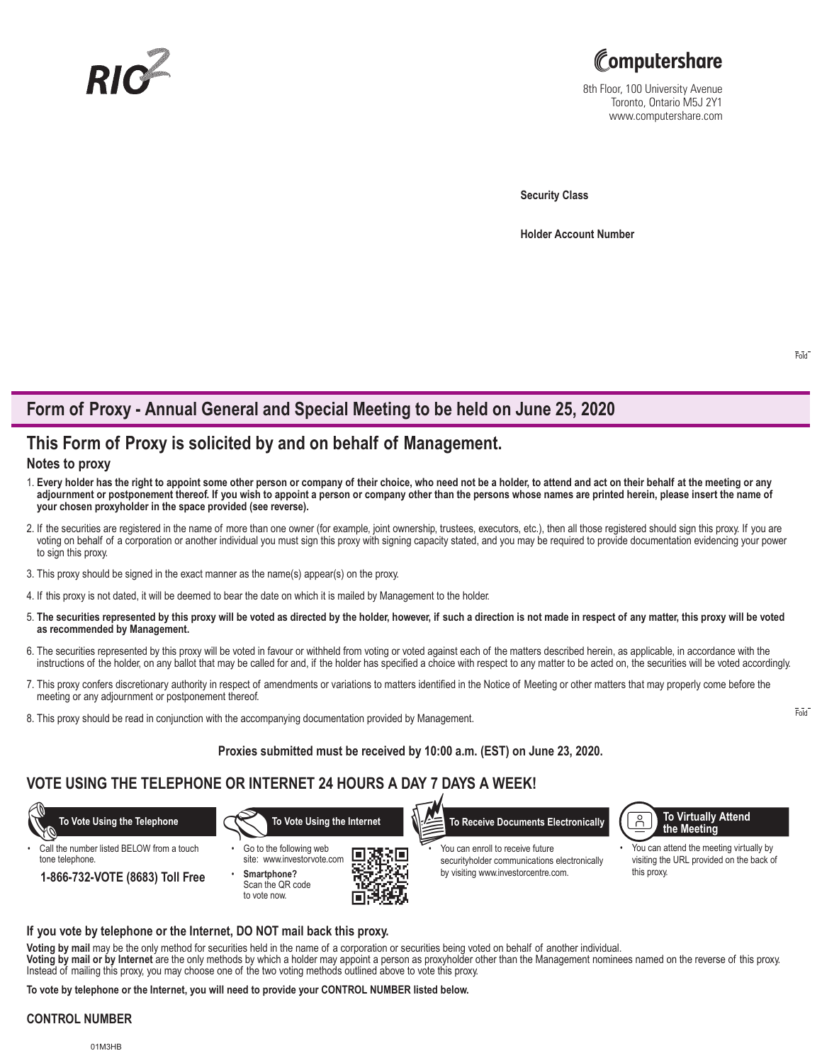



8th Floor, 100 University Avenue Toronto, Ontario M5J 2Y1 www.computershare.com

**Security Class**

**Holder Account Number** 

# **Form of Proxy - Annual General and Special Meeting to be held on June 25, 2020**

# **This Form of Proxy is solicited by and on behalf of Management.**

## **Notes to proxy**

- 1. **Every holder has the right to appoint some other person or company of their choice, who need not be a holder, to attend and act on their behalf at the meeting or any adjournment or postponement thereof. If you wish to appoint a person or company other than the persons whose names are printed herein, please insert the name of your chosen proxyholder in the space provided (see reverse).**
- 2. If the securities are registered in the name of more than one owner (for example, joint ownership, trustees, executors, etc.), then all those registered should sign this proxy. If you are voting on behalf of a corporation or another individual you must sign this proxy with signing capacity stated, and you may be required to provide documentation evidencing your power to sign this proxy.
- 3. This proxy should be signed in the exact manner as the name(s) appear(s) on the proxy.
- 4. If this proxy is not dated, it will be deemed to bear the date on which it is mailed by Management to the holder.
- 5. **The securities represented by this proxy will be voted as directed by the holder, however, if such a direction is not made in respect of any matter, this proxy will be voted as recommended by Management.**
- 6. The securities represented by this proxy will be voted in favour or withheld from voting or voted against each of the matters described herein, as applicable, in accordance with the instructions of the holder, on any ballot that may be called for and, if the holder has specified a choice with respect to any matter to be acted on, the securities will be voted accordingly.
- 7. This proxy confers discretionary authority in respect of amendments or variations to matters identified in the Notice of Meeting or other matters that may properly come before the meeting or any adjournment or postponement thereof.
- 8. This proxy should be read in conjunction with the accompanying documentation provided by Management.

## **Proxies submitted must be received by 10:00 a.m. (EST) on June 23, 2020.**

# **VOTE USING THE TELEPHONE OR INTERNET 24 HOURS A DAY 7 DAYS A WEEK!**



Call the number listed BELOW from a touch tone telephone.







You can enroll to receive future securityholder communications electronically



• You can attend the meeting virtually by visiting the URL provided on the back of this proxy.

### **If you vote by telephone or the Internet, DO NOT mail back this proxy.**

**Voting by mail** may be the only method for securities held in the name of a corporation or securities being voted on behalf of another individual. **Voting by mail or by Internet** are the only methods by which a holder may appoint a person as proxyholder other than the Management nominees named on the reverse of this proxy. Instead of mailing this proxy, you may choose one of the two voting methods outlined above to vote this proxy.

**To vote by telephone or the Internet, you will need to provide your CONTROL NUMBER listed below.**

#### **CONTROL NUMBER**